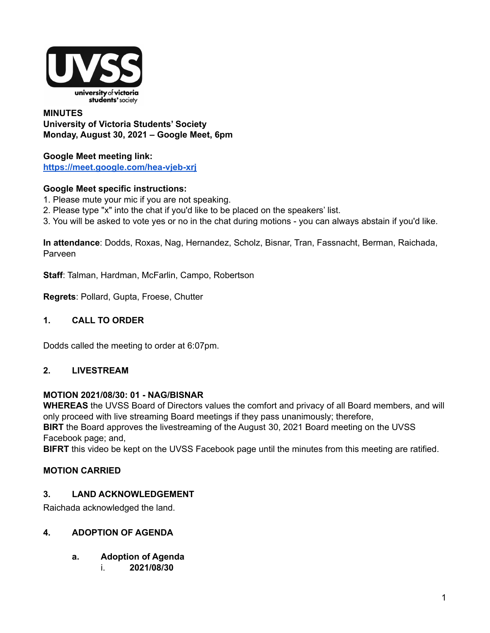

### **MINUTES University of Victoria Students' Society Monday, August 30, 2021 – Google Meet, 6pm**

**Google Meet meeting link: <https://meet.google.com/hea-vjeb-xrj>**

### **Google Meet specific instructions:**

- 1. Please mute your mic if you are not speaking.
- 2. Please type "x" into the chat if you'd like to be placed on the speakers' list.
- 3. You will be asked to vote yes or no in the chat during motions you can always abstain if you'd like.

**In attendance**: Dodds, Roxas, Nag, Hernandez, Scholz, Bisnar, Tran, Fassnacht, Berman, Raichada, Parveen

**Staff**: Talman, Hardman, McFarlin, Campo, Robertson

**Regrets**: Pollard, Gupta, Froese, Chutter

#### **1. CALL TO ORDER**

Dodds called the meeting to order at 6:07pm.

#### **2. LIVESTREAM**

#### **MOTION 2021/08/30: 01 - NAG/BISNAR**

**WHEREAS** the UVSS Board of Directors values the comfort and privacy of all Board members, and will only proceed with live streaming Board meetings if they pass unanimously; therefore, **BIRT** the Board approves the livestreaming of the August 30, 2021 Board meeting on the UVSS

Facebook page; and,

**BIFRT** this video be kept on the UVSS Facebook page until the minutes from this meeting are ratified.

#### **MOTION CARRIED**

#### **3. LAND ACKNOWLEDGEMENT**

Raichada acknowledged the land.

#### **4. ADOPTION OF AGENDA**

- **a. Adoption of Agenda**
	- i. **2021/08/30**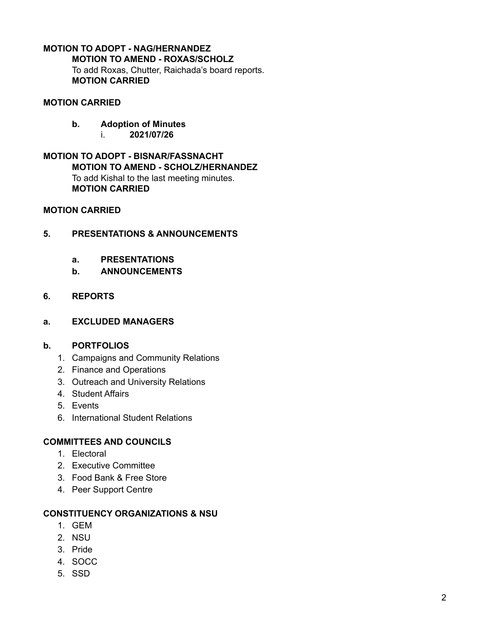# **MOTION TO ADOPT - NAG/HERNANDEZ MOTION TO AMEND - ROXAS/SCHOLZ**

To add Roxas, Chutter, Raichada's board reports. **MOTION CARRIED**

## **MOTION CARRIED**

- **b. Adoption of Minutes**
	- i. **2021/07/26**

### **MOTION TO ADOPT - BISNAR/FASSNACHT MOTION TO AMEND - SCHOLZ/HERNANDEZ** To add Kishal to the last meeting minutes. **MOTION CARRIED**

### **MOTION CARRIED**

## **5. PRESENTATIONS & ANNOUNCEMENTS**

- **a. PRESENTATIONS**
- **b. ANNOUNCEMENTS**

## **6. REPORTS**

**a. EXCLUDED MANAGERS**

### **b. PORTFOLIOS**

- 1. Campaigns and Community Relations
- 2. Finance and Operations
- 3. Outreach and University Relations
- 4. Student Affairs
- 5. Events
- 6. International Student Relations

## **COMMITTEES AND COUNCILS**

- 1. Electoral
- 2. Executive Committee
- 3. Food Bank & Free Store
- 4. Peer Support Centre

### **CONSTITUENCY ORGANIZATIONS & NSU**

- 1. GEM
- 2. NSU
- 3. Pride
- 4. SOCC
- 5. SSD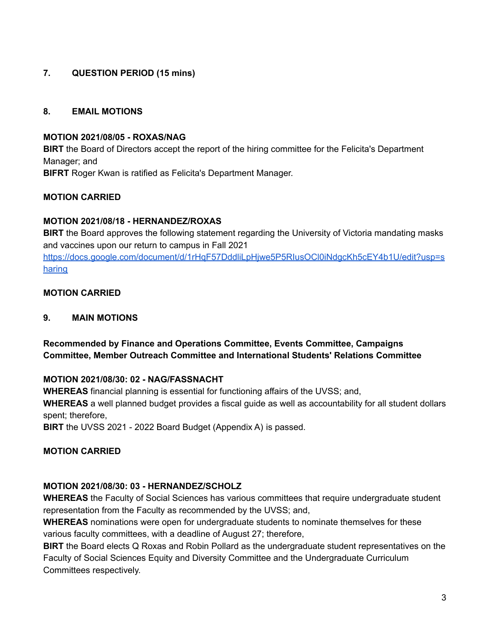## **7. QUESTION PERIOD (15 mins)**

### **8. EMAIL MOTIONS**

#### **MOTION 2021/08/05 - ROXAS/NAG**

**BIRT** the Board of Directors accept the report of the hiring committee for the Felicita's Department Manager; and **BIFRT** Roger Kwan is ratified as Felicita's Department Manager.

### **MOTION CARRIED**

### **MOTION 2021/08/18 - HERNANDEZ/ROXAS**

**BIRT** the Board approves the following statement regarding the University of Victoria mandating masks and vaccines upon our return to campus in Fall 2021

[https://docs.google.com/document/d/1rHqF57DddliLpHjwe5P5RIusOCl0iNdgcKh5cEY4b1U/edit?usp=s](https://docs.google.com/document/d/1rHqF57DddliLpHjwe5P5RIusOCl0iNdgcKh5cEY4b1U/edit?usp=sharing) [haring](https://docs.google.com/document/d/1rHqF57DddliLpHjwe5P5RIusOCl0iNdgcKh5cEY4b1U/edit?usp=sharing)

### **MOTION CARRIED**

### **9. MAIN MOTIONS**

**Recommended by Finance and Operations Committee, Events Committee, Campaigns Committee, Member Outreach Committee and International Students' Relations Committee**

## **MOTION 2021/08/30: 02 - NAG/FASSNACHT**

**WHEREAS** financial planning is essential for functioning affairs of the UVSS; and,

**WHEREAS** a well planned budget provides a fiscal guide as well as accountability for all student dollars spent; therefore,

**BIRT** the UVSS 2021 - 2022 Board Budget (Appendix A) is passed.

### **MOTION CARRIED**

## **MOTION 2021/08/30: 03 - HERNANDEZ/SCHOLZ**

**WHEREAS** the Faculty of Social Sciences has various committees that require undergraduate student representation from the Faculty as recommended by the UVSS; and,

**WHEREAS** nominations were open for undergraduate students to nominate themselves for these various faculty committees, with a deadline of August 27; therefore,

**BIRT** the Board elects Q Roxas and Robin Pollard as the undergraduate student representatives on the Faculty of Social Sciences Equity and Diversity Committee and the Undergraduate Curriculum Committees respectively.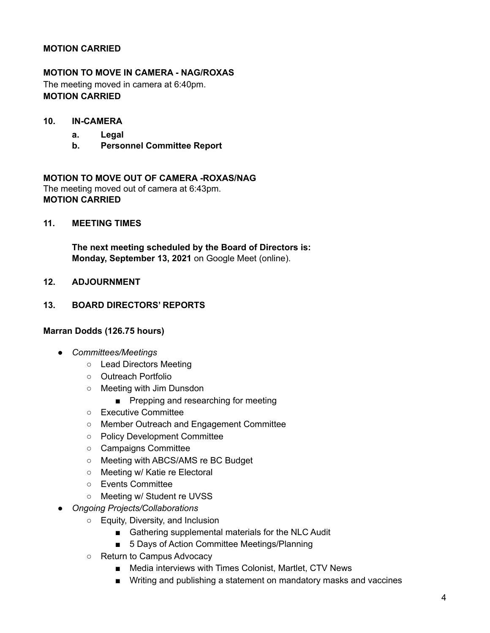### **MOTION CARRIED**

### **MOTION TO MOVE IN CAMERA - NAG/ROXAS**

The meeting moved in camera at 6:40pm. **MOTION CARRIED**

- **10. IN-CAMERA**
	- **a. Legal**
	- **b. Personnel Committee Report**

**MOTION TO MOVE OUT OF CAMERA -ROXAS/NAG** The meeting moved out of camera at 6:43pm. **MOTION CARRIED**

**11. MEETING TIMES**

**The next meeting scheduled by the Board of Directors is: Monday, September 13, 2021** on Google Meet (online).

**12. ADJOURNMENT**

#### **13. BOARD DIRECTORS' REPORTS**

#### **Marran Dodds (126.75 hours)**

- *Committees/Meetings*
	- Lead Directors Meeting
	- Outreach Portfolio
	- Meeting with Jim Dunsdon
		- Prepping and researching for meeting
	- Executive Committee
	- Member Outreach and Engagement Committee
	- Policy Development Committee
	- Campaigns Committee
	- Meeting with ABCS/AMS re BC Budget
	- Meeting w/ Katie re Electoral
	- Events Committee
	- Meeting w/ Student re UVSS
- *Ongoing Projects/Collaborations*
	- Equity, Diversity, and Inclusion
		- Gathering supplemental materials for the NLC Audit
		- 5 Days of Action Committee Meetings/Planning
	- Return to Campus Advocacy
		- Media interviews with Times Colonist, Martlet, CTV News
		- Writing and publishing a statement on mandatory masks and vaccines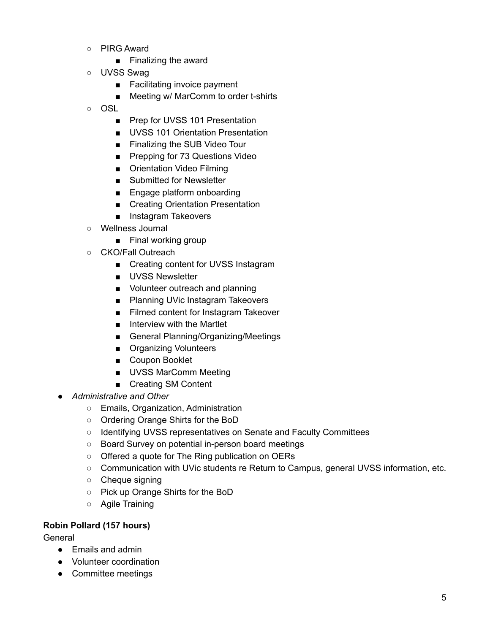- PIRG Award
	- Finalizing the award
- UVSS Swag
	- Facilitating invoice payment
	- Meeting w/ MarComm to order t-shirts
- OSL
	- Prep for UVSS 101 Presentation
	- UVSS 101 Orientation Presentation
	- Finalizing the SUB Video Tour
	- Prepping for 73 Questions Video
	- Orientation Video Filming
	- Submitted for Newsletter
	- Engage platform onboarding
	- Creating Orientation Presentation
	- Instagram Takeovers
- Wellness Journal
	- Final working group
- CKO/Fall Outreach
	- Creating content for UVSS Instagram
	- UVSS Newsletter
	- Volunteer outreach and planning
	- Planning UVic Instagram Takeovers
	- Filmed content for Instagram Takeover
	- Interview with the Martlet
	- General Planning/Organizing/Meetings
	- Organizing Volunteers
	- Coupon Booklet
	- UVSS MarComm Meeting
	- Creating SM Content
- *Administrative and Other*
	- Emails, Organization, Administration
	- Ordering Orange Shirts for the BoD
	- Identifying UVSS representatives on Senate and Faculty Committees
	- Board Survey on potential in-person board meetings
	- Offered a quote for The Ring publication on OERs
	- Communication with UVic students re Return to Campus, general UVSS information, etc.
	- Cheque signing
	- Pick up Orange Shirts for the BoD
	- Agile Training

#### **Robin Pollard (157 hours)**

General

- Emails and admin
- Volunteer coordination
- Committee meetings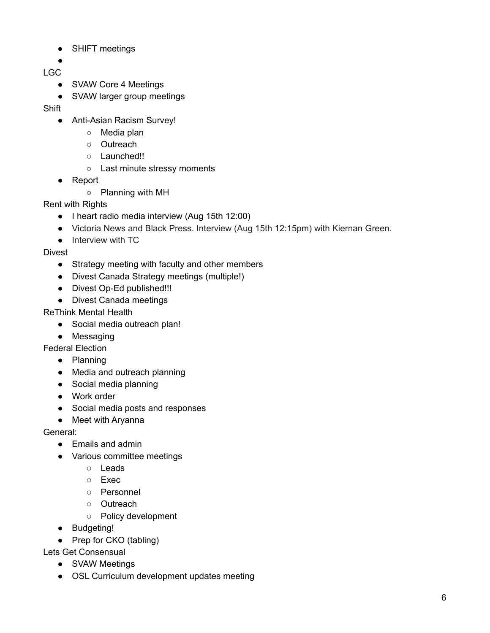- SHIFT meetings
- ●
- LGC
	- SVAW Core 4 Meetings
	- SVAW larger group meetings

**Shift** 

- Anti-Asian Racism Survey!
	- Media plan
	- Outreach
	- Launched!!
	- Last minute stressy moments
- Report
	- Planning with MH

Rent with Rights

- I heart radio media interview (Aug 15th 12:00)
- Victoria News and Black Press. Interview (Aug 15th 12:15pm) with Kiernan Green.
- Interview with TC

Divest

- Strategy meeting with faculty and other members
- Divest Canada Strategy meetings (multiple!)
- Divest Op-Ed published!!!
- Divest Canada meetings

ReThink Mental Health

- Social media outreach plan!
- Messaging

Federal Election

- Planning
- Media and outreach planning
- Social media planning
- Work order
- Social media posts and responses
- Meet with Aryanna

General:

- Emails and admin
- Various committee meetings
	- Leads
	- Exec
	- Personnel
	- Outreach
	- Policy development
- Budgeting!
- Prep for CKO (tabling)

Lets Get Consensual

- SVAW Meetings
- OSL Curriculum development updates meeting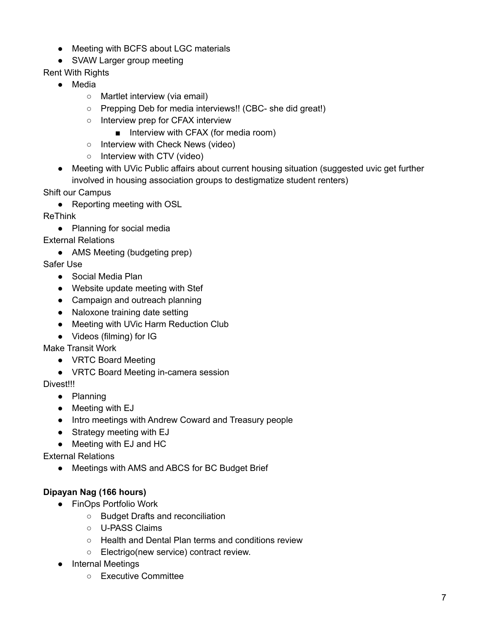- Meeting with BCFS about LGC materials
- SVAW Larger group meeting

Rent With Rights

- Media
	- Martlet interview (via email)
	- Prepping Deb for media interviews!! (CBC- she did great!)
	- Interview prep for CFAX interview
		- Interview with CFAX (for media room)
	- Interview with Check News (video)
	- Interview with CTV (video)
- Meeting with UVic Public affairs about current housing situation (suggested uvic get further involved in housing association groups to destigmatize student renters)

Shift our Campus

● Reporting meeting with OSL

ReThink

● Planning for social media

External Relations

• AMS Meeting (budgeting prep)

Safer Use

- Social Media Plan
- Website update meeting with Stef
- Campaign and outreach planning
- Naloxone training date setting
- Meeting with UVic Harm Reduction Club
- Videos (filming) for IG

Make Transit Work

- VRTC Board Meeting
- VRTC Board Meeting in-camera session

Divest!!!

- Planning
- Meeting with EJ
- Intro meetings with Andrew Coward and Treasury people
- Strategy meeting with EJ
- Meeting with EJ and HC

External Relations

● Meetings with AMS and ABCS for BC Budget Brief

## **Dipayan Nag (166 hours)**

- FinOps Portfolio Work
	- Budget Drafts and reconciliation
	- U-PASS Claims
	- Health and Dental Plan terms and conditions review
	- Electrigo(new service) contract review.
- Internal Meetings
	- Executive Committee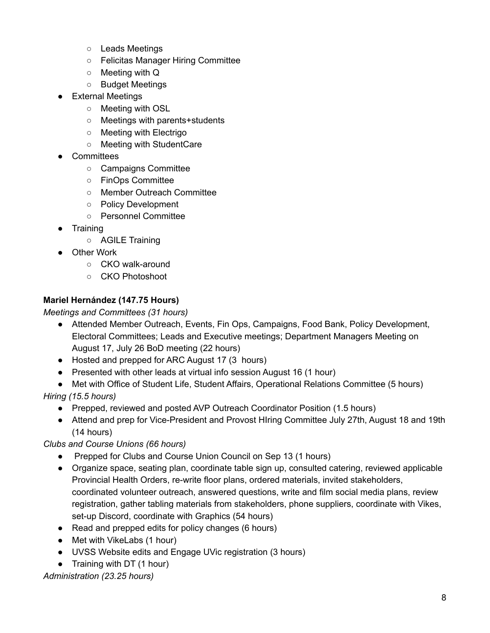- Leads Meetings
- Felicitas Manager Hiring Committee
- Meeting with Q
- Budget Meetings
- External Meetings
	- Meeting with OSL
	- Meetings with parents+students
	- Meeting with Electrigo
	- Meeting with StudentCare
- **Committees** 
	- Campaigns Committee
	- FinOps Committee
	- Member Outreach Committee
	- Policy Development
	- Personnel Committee
- Training
	- AGILE Training
- Other Work
	- CKO walk-around
	- CKO Photoshoot

## **Mariel Hernández (147.75 Hours)**

### *Meetings and Committees (31 hours)*

- Attended Member Outreach, Events, Fin Ops, Campaigns, Food Bank, Policy Development, Electoral Committees; Leads and Executive meetings; Department Managers Meeting on August 17, July 26 BoD meeting (22 hours)
- Hosted and prepped for ARC August 17 (3 hours)
- Presented with other leads at virtual info session August 16 (1 hour)
- Met with Office of Student Life, Student Affairs, Operational Relations Committee (5 hours)

## *Hiring (15.5 hours)*

- Prepped, reviewed and posted AVP Outreach Coordinator Position (1.5 hours)
- Attend and prep for Vice-President and Provost Hiring Committee July 27th, August 18 and 19th (14 hours)

## *Clubs and Course Unions (66 hours)*

- Prepped for Clubs and Course Union Council on Sep 13 (1 hours)
- Organize space, seating plan, coordinate table sign up, consulted catering, reviewed applicable Provincial Health Orders, re-write floor plans, ordered materials, invited stakeholders, coordinated volunteer outreach, answered questions, write and film social media plans, review registration, gather tabling materials from stakeholders, phone suppliers, coordinate with Vikes, set-up Discord, coordinate with Graphics (54 hours)
- Read and prepped edits for policy changes (6 hours)
- Met with VikeLabs (1 hour)
- UVSS Website edits and Engage UVic registration (3 hours)
- Training with DT (1 hour)

*Administration (23.25 hours)*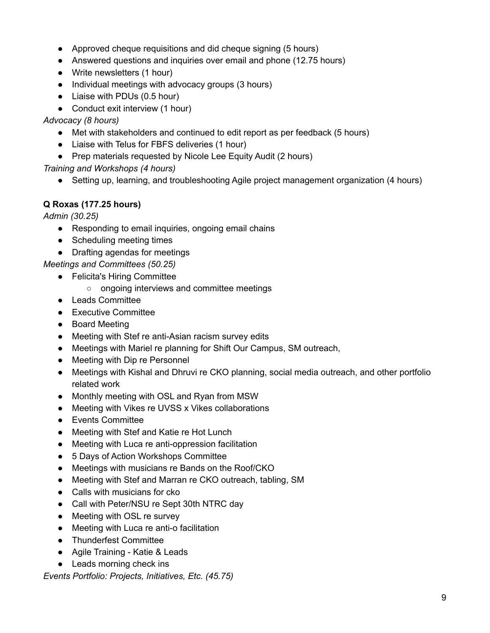- Approved cheque requisitions and did cheque signing (5 hours)
- Answered questions and inquiries over email and phone (12.75 hours)
- Write newsletters (1 hour)
- Individual meetings with advocacy groups (3 hours)
- Liaise with PDUs (0.5 hour)
- Conduct exit interview (1 hour)

### *Advocacy (8 hours)*

- Met with stakeholders and continued to edit report as per feedback (5 hours)
- Liaise with Telus for FBFS deliveries (1 hour)
- Prep materials requested by Nicole Lee Equity Audit (2 hours)

*Training and Workshops (4 hours)*

● Setting up, learning, and troubleshooting Agile project management organization (4 hours)

## **Q Roxas (177.25 hours)**

*Admin (30.25)*

- Responding to email inquiries, ongoing email chains
- Scheduling meeting times
- Drafting agendas for meetings

## *Meetings and Committees (50.25)*

- Felicita's Hiring Committee
	- ongoing interviews and committee meetings
- Leads Committee
- Executive Committee
- Board Meeting
- Meeting with Stef re anti-Asian racism survey edits
- Meetings with Mariel re planning for Shift Our Campus, SM outreach,
- Meeting with Dip re Personnel
- Meetings with Kishal and Dhruvi re CKO planning, social media outreach, and other portfolio related work
- Monthly meeting with OSL and Ryan from MSW
- Meeting with Vikes re UVSS x Vikes collaborations
- Events Committee
- Meeting with Stef and Katie re Hot Lunch
- Meeting with Luca re anti-oppression facilitation
- 5 Days of Action Workshops Committee
- Meetings with musicians re Bands on the Roof/CKO
- Meeting with Stef and Marran re CKO outreach, tabling, SM
- Calls with musicians for cko
- Call with Peter/NSU re Sept 30th NTRC day
- Meeting with OSL re survey
- Meeting with Luca re anti-o facilitation
- Thunderfest Committee
- Agile Training Katie & Leads
- Leads morning check ins

*Events Portfolio: Projects, Initiatives, Etc. (45.75)*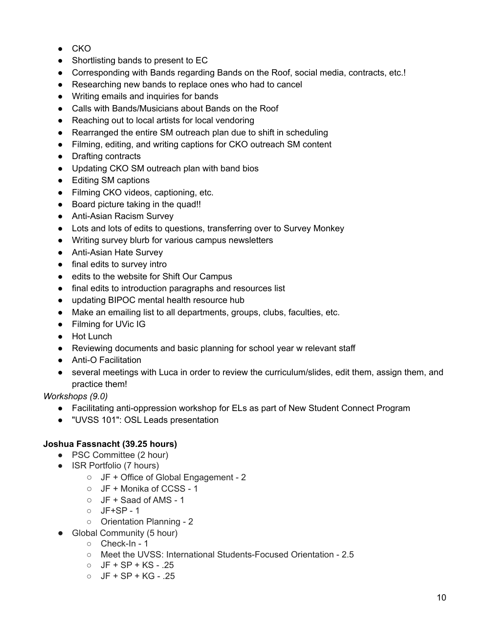- CKO
- Shortlisting bands to present to EC
- Corresponding with Bands regarding Bands on the Roof, social media, contracts, etc.!
- Researching new bands to replace ones who had to cancel
- Writing emails and inquiries for bands
- Calls with Bands/Musicians about Bands on the Roof
- Reaching out to local artists for local vendoring
- Rearranged the entire SM outreach plan due to shift in scheduling
- Filming, editing, and writing captions for CKO outreach SM content
- Drafting contracts
- Updating CKO SM outreach plan with band bios
- Editing SM captions
- Filming CKO videos, captioning, etc.
- Board picture taking in the quad!!
- Anti-Asian Racism Survey
- Lots and lots of edits to questions, transferring over to Survey Monkey
- Writing survey blurb for various campus newsletters
- Anti-Asian Hate Survey
- final edits to survey intro
- edits to the website for Shift Our Campus
- final edits to introduction paragraphs and resources list
- updating BIPOC mental health resource hub
- Make an emailing list to all departments, groups, clubs, faculties, etc.
- Filming for UVic IG
- Hot Lunch
- Reviewing documents and basic planning for school year w relevant staff
- Anti-O Facilitation
- several meetings with Luca in order to review the curriculum/slides, edit them, assign them, and practice them!

*Workshops (9.0)*

- Facilitating anti-oppression workshop for ELs as part of New Student Connect Program
- "UVSS 101": OSL Leads presentation

## **Joshua Fassnacht (39.25 hours)**

- PSC Committee (2 hour)
- ISR Portfolio (7 hours)
	- JF + Office of Global Engagement 2
	- JF + Monika of CCSS 1
	- JF + Saad of AMS 1
	- JF+SP 1
	- Orientation Planning 2
- Global Community (5 hour)
	- Check-In 1
	- Meet the UVSS: International Students-Focused Orientation 2.5
	- $O$  JF + SP + KS .25
	- $O$  JF + SP + KG .25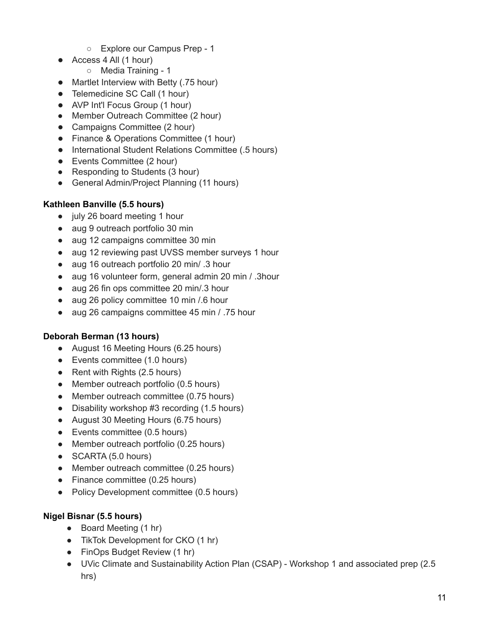- Explore our Campus Prep 1
- Access 4 All (1 hour)
	- Media Training 1
- Martlet Interview with Betty (.75 hour)
- Telemedicine SC Call (1 hour)
- AVP Int'l Focus Group (1 hour)
- Member Outreach Committee (2 hour)
- Campaigns Committee (2 hour)
- Finance & Operations Committee (1 hour)
- International Student Relations Committee (.5 hours)
- Events Committee (2 hour)
- Responding to Students (3 hour)
- General Admin/Project Planning (11 hours)

## **Kathleen Banville (5.5 hours)**

- july 26 board meeting 1 hour
- aug 9 outreach portfolio 30 min
- aug 12 campaigns committee 30 min
- aug 12 reviewing past UVSS member surveys 1 hour
- aug 16 outreach portfolio 20 min/ .3 hour
- aug 16 volunteer form, general admin 20 min / .3hour
- aug 26 fin ops committee 20 min/.3 hour
- aug 26 policy committee 10 min / 6 hour
- aug 26 campaigns committee 45 min / .75 hour

## **Deborah Berman (13 hours)**

- August 16 Meeting Hours (6.25 hours)
- Events committee (1.0 hours)
- Rent with Rights (2.5 hours)
- Member outreach portfolio (0.5 hours)
- Member outreach committee (0.75 hours)
- Disability workshop #3 recording (1.5 hours)
- August 30 Meeting Hours (6.75 hours)
- Events committee (0.5 hours)
- Member outreach portfolio (0.25 hours)
- SCARTA (5.0 hours)
- Member outreach committee (0.25 hours)
- Finance committee (0.25 hours)
- Policy Development committee (0.5 hours)

## **Nigel Bisnar (5.5 hours)**

- Board Meeting (1 hr)
- TikTok Development for CKO (1 hr)
- FinOps Budget Review (1 hr)
- UVic Climate and Sustainability Action Plan (CSAP) Workshop 1 and associated prep (2.5 hrs)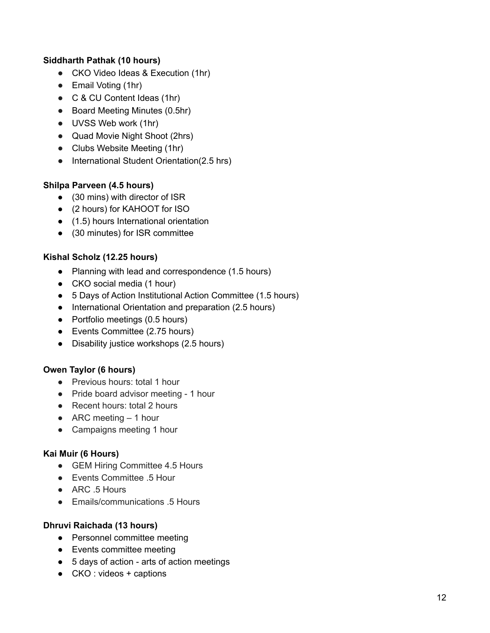### **Siddharth Pathak (10 hours)**

- CKO Video Ideas & Execution (1hr)
- Email Voting (1hr)
- C & CU Content Ideas (1hr)
- Board Meeting Minutes (0.5hr)
- UVSS Web work (1hr)
- Quad Movie Night Shoot (2hrs)
- Clubs Website Meeting (1hr)
- International Student Orientation(2.5 hrs)

### **Shilpa Parveen (4.5 hours)**

- (30 mins) with director of ISR
- (2 hours) for KAHOOT for ISO
- (1.5) hours International orientation
- (30 minutes) for ISR committee

## **Kishal Scholz (12.25 hours)**

- Planning with lead and correspondence (1.5 hours)
- CKO social media (1 hour)
- 5 Days of Action Institutional Action Committee (1.5 hours)
- International Orientation and preparation (2.5 hours)
- Portfolio meetings (0.5 hours)
- Events Committee (2.75 hours)
- Disability justice workshops (2.5 hours)

### **Owen Taylor (6 hours)**

- Previous hours: total 1 hour
- Pride board advisor meeting 1 hour
- Recent hours: total 2 hours
- $\bullet$  ARC meeting  $-1$  hour
- Campaigns meeting 1 hour

### **Kai Muir (6 Hours)**

- GEM Hiring Committee 4.5 Hours
- Events Committee .5 Hour
- ARC .5 Hours
- Emails/communications .5 Hours

### **Dhruvi Raichada (13 hours)**

- Personnel committee meeting
- Events committee meeting
- 5 days of action arts of action meetings
- $\bullet$  CKO : videos + captions